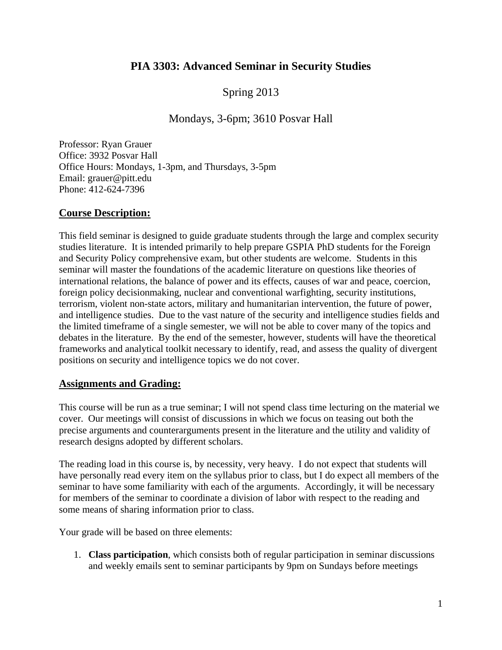# **PIA 3303: Advanced Seminar in Security Studies**

# Spring 2013

# Mondays, 3-6pm; 3610 Posvar Hall

Professor: Ryan Grauer Office: 3932 Posvar Hall Office Hours: Mondays, 1-3pm, and Thursdays, 3-5pm Email: grauer@pitt.edu Phone: 412-624-7396

## **Course Description:**

This field seminar is designed to guide graduate students through the large and complex security studies literature. It is intended primarily to help prepare GSPIA PhD students for the Foreign and Security Policy comprehensive exam, but other students are welcome. Students in this seminar will master the foundations of the academic literature on questions like theories of international relations, the balance of power and its effects, causes of war and peace, coercion, foreign policy decisionmaking, nuclear and conventional warfighting, security institutions, terrorism, violent non-state actors, military and humanitarian intervention, the future of power, and intelligence studies. Due to the vast nature of the security and intelligence studies fields and the limited timeframe of a single semester, we will not be able to cover many of the topics and debates in the literature. By the end of the semester, however, students will have the theoretical frameworks and analytical toolkit necessary to identify, read, and assess the quality of divergent positions on security and intelligence topics we do not cover.

## **Assignments and Grading:**

This course will be run as a true seminar; I will not spend class time lecturing on the material we cover. Our meetings will consist of discussions in which we focus on teasing out both the precise arguments and counterarguments present in the literature and the utility and validity of research designs adopted by different scholars.

The reading load in this course is, by necessity, very heavy. I do not expect that students will have personally read every item on the syllabus prior to class, but I do expect all members of the seminar to have some familiarity with each of the arguments. Accordingly, it will be necessary for members of the seminar to coordinate a division of labor with respect to the reading and some means of sharing information prior to class.

Your grade will be based on three elements:

1. **Class participation**, which consists both of regular participation in seminar discussions and weekly emails sent to seminar participants by 9pm on Sundays before meetings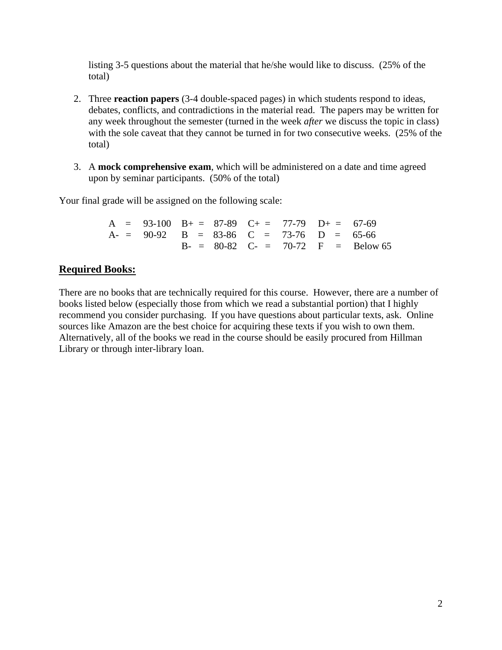listing 3-5 questions about the material that he/she would like to discuss. (25% of the total)

- 2. Three **reaction papers** (3-4 double-spaced pages) in which students respond to ideas, debates, conflicts, and contradictions in the material read. The papers may be written for any week throughout the semester (turned in the week *after* we discuss the topic in class) with the sole caveat that they cannot be turned in for two consecutive weeks. (25% of the total)
- 3. A **mock comprehensive exam**, which will be administered on a date and time agreed upon by seminar participants. (50% of the total)

Your final grade will be assigned on the following scale:

A =  $93-100$  B + =  $87-89$  C + =  $77-79$  D + =  $67-69$ A- =  $90-92$  B =  $83-86$  C =  $73-76$  D =  $65-66$  $B- = 80-82$  C- = 70-72 F = Below 65

## **Required Books:**

There are no books that are technically required for this course. However, there are a number of books listed below (especially those from which we read a substantial portion) that I highly recommend you consider purchasing. If you have questions about particular texts, ask. Online sources like Amazon are the best choice for acquiring these texts if you wish to own them. Alternatively, all of the books we read in the course should be easily procured from Hillman Library or through inter-library loan.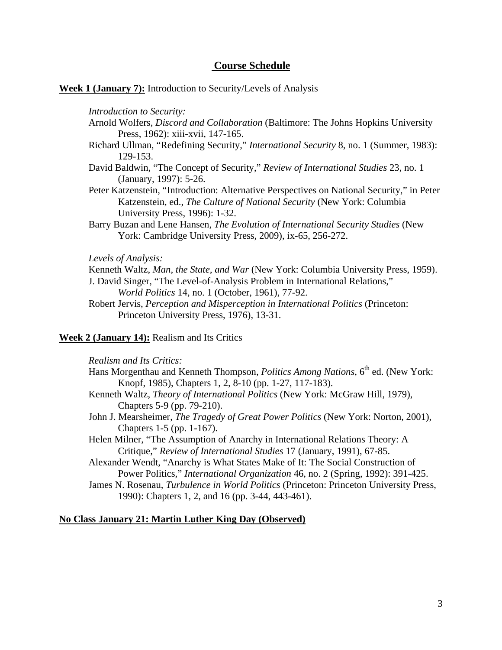## **Course Schedule**

## **Week 1 (January 7):** Introduction to Security/Levels of Analysis

*Introduction to Security:*

- Arnold Wolfers, *Discord and Collaboration* (Baltimore: The Johns Hopkins University Press, 1962): xiii-xvii, 147-165.
- Richard Ullman, "Redefining Security," *International Security* 8, no. 1 (Summer, 1983): 129-153.
- David Baldwin, "The Concept of Security," *Review of International Studies* 23, no. 1 (January, 1997): 5-26.
- Peter Katzenstein, "Introduction: Alternative Perspectives on National Security," in Peter Katzenstein, ed., *The Culture of National Security* (New York: Columbia University Press, 1996): 1-32.
- Barry Buzan and Lene Hansen, *The Evolution of International Security Studies* (New York: Cambridge University Press, 2009), ix-65, 256-272.

#### *Levels of Analysis:*

Kenneth Waltz, *Man, the State, and War* (New York: Columbia University Press, 1959). J. David Singer, "The Level-of-Analysis Problem in International Relations," *World Politics* 14, no. 1 (October, 1961), 77-92.

Robert Jervis, *Perception and Misperception in International Politics* (Princeton: Princeton University Press, 1976), 13-31.

## **Week 2 (January 14):** Realism and Its Critics

*Realism and Its Critics:*

- Hans Morgenthau and Kenneth Thompson, *Politics Among Nations*, 6<sup>th</sup> ed. (New York: Knopf, 1985), Chapters 1, 2, 8-10 (pp. 1-27, 117-183).
- Kenneth Waltz, *Theory of International Politics* (New York: McGraw Hill, 1979), Chapters 5-9 (pp. 79-210).
- John J. Mearsheimer, *The Tragedy of Great Power Politics* (New York: Norton, 2001), Chapters 1-5 (pp. 1-167).
- Helen Milner, "The Assumption of Anarchy in International Relations Theory: A Critique," *Review of International Studies* 17 (January, 1991), 67-85.

Alexander Wendt, "Anarchy is What States Make of It: The Social Construction of Power Politics," *International Organization* 46, no. 2 (Spring, 1992): 391-425.

James N. Rosenau, *Turbulence in World Politics* (Princeton: Princeton University Press, 1990): Chapters 1, 2, and 16 (pp. 3-44, 443-461).

## **No Class January 21: Martin Luther King Day (Observed)**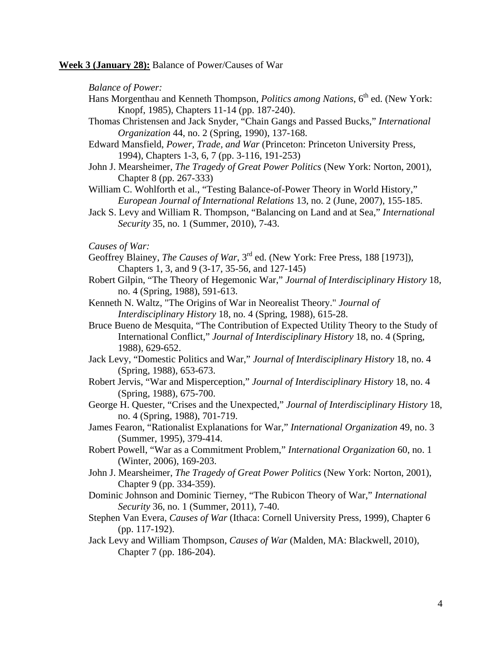**Week 3 (January 28):** Balance of Power/Causes of War

*Balance of Power:*

- Hans Morgenthau and Kenneth Thompson, *Politics among Nations*, 6<sup>th</sup> ed. (New York: Knopf, 1985), Chapters 11-14 (pp. 187-240).
- Thomas Christensen and Jack Snyder, "Chain Gangs and Passed Bucks," *International Organization* 44, no. 2 (Spring, 1990), 137-168.
- Edward Mansfield, *Power, Trade, and War* (Princeton: Princeton University Press, 1994), Chapters 1-3, 6, 7 (pp. 3-116, 191-253)
- John J. Mearsheimer, *The Tragedy of Great Power Politics* (New York: Norton, 2001), Chapter 8 (pp. 267-333)

William C. Wohlforth et al., "Testing Balance-of-Power Theory in World History," *European Journal of International Relations* 13, no. 2 (June, 2007), 155-185.

Jack S. Levy and William R. Thompson, "Balancing on Land and at Sea," *International Security* 35, no. 1 (Summer, 2010), 7-43.

*Causes of War:*

- Geoffrey Blainey, *The Causes of War*, 3<sup>rd</sup> ed. (New York: Free Press, 188 [1973]), Chapters 1, 3, and 9 (3-17, 35-56, and 127-145)
- Robert Gilpin, "The Theory of Hegemonic War," *Journal of Interdisciplinary History* 18, no. 4 (Spring, 1988), 591-613.
- Kenneth N. Waltz, "The Origins of War in Neorealist Theory." *Journal of Interdisciplinary History* 18, no. 4 (Spring, 1988), 615-28.
- Bruce Bueno de Mesquita, "The Contribution of Expected Utility Theory to the Study of International Conflict," *Journal of Interdisciplinary History* 18, no. 4 (Spring, 1988), 629-652.
- Jack Levy, "Domestic Politics and War," *Journal of Interdisciplinary History* 18, no. 4 (Spring, 1988), 653-673.
- Robert Jervis, "War and Misperception," *Journal of Interdisciplinary History* 18, no. 4 (Spring, 1988), 675-700.
- George H. Quester, "Crises and the Unexpected," *Journal of Interdisciplinary History* 18, no. 4 (Spring, 1988), 701-719.
- James Fearon, "Rationalist Explanations for War," *International Organization* 49, no. 3 (Summer, 1995), 379-414.
- Robert Powell, "War as a Commitment Problem," *International Organization* 60, no. 1 (Winter, 2006), 169-203.
- John J. Mearsheimer, *The Tragedy of Great Power Politics* (New York: Norton, 2001), Chapter 9 (pp. 334-359).
- Dominic Johnson and Dominic Tierney, "The Rubicon Theory of War," *International Security* 36, no. 1 (Summer, 2011), 7-40.
- Stephen Van Evera, *Causes of War* (Ithaca: Cornell University Press, 1999), Chapter 6 (pp. 117-192).
- Jack Levy and William Thompson, *Causes of War* (Malden, MA: Blackwell, 2010), Chapter 7 (pp. 186-204).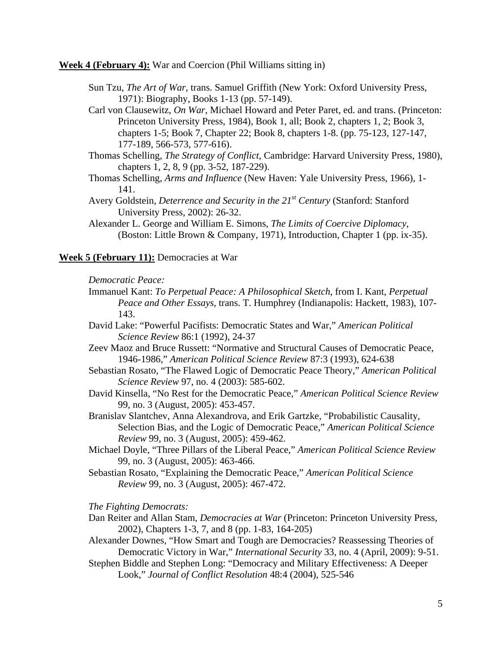**Week 4 (February 4):** War and Coercion (Phil Williams sitting in)

- Sun Tzu, *The Art of War*, trans. Samuel Griffith (New York: Oxford University Press, 1971): Biography, Books 1-13 (pp. 57-149).
- Carl von Clausewitz, *On War*, Michael Howard and Peter Paret, ed. and trans. (Princeton: Princeton University Press, 1984), Book 1, all; Book 2, chapters 1, 2; Book 3, chapters 1-5; Book 7, Chapter 22; Book 8, chapters 1-8. (pp. 75-123, 127-147, 177-189, 566-573, 577-616).
- Thomas Schelling, *The Strategy of Conflict*, Cambridge: Harvard University Press, 1980), chapters 1, 2, 8, 9 (pp. 3-52, 187-229).
- Thomas Schelling, *Arms and Influence* (New Haven: Yale University Press, 1966), 1- 141.
- Avery Goldstein, *Deterrence and Security in the 21st Century* (Stanford: Stanford University Press, 2002): 26-32.
- Alexander L. George and William E. Simons, *The Limits of Coercive Diplomacy*, (Boston: Little Brown & Company, 1971), Introduction, Chapter 1 (pp. ix-35).

## **Week 5 (February 11):** Democracies at War

## *Democratic Peace:*

- Immanuel Kant: *To Perpetual Peace: A Philosophical Sketch*, from I. Kant, *Perpetual Peace and Other Essays*, trans. T. Humphrey (Indianapolis: Hackett, 1983), 107- 143.
- David Lake: "Powerful Pacifists: Democratic States and War," *American Political Science Review* 86:1 (1992), 24-37
- Zeev Maoz and Bruce Russett: "Normative and Structural Causes of Democratic Peace, 1946-1986," *American Political Science Review* 87:3 (1993), 624-638
- Sebastian Rosato, "The Flawed Logic of Democratic Peace Theory," *American Political Science Review* 97, no. 4 (2003): 585-602.
- David Kinsella, "No Rest for the Democratic Peace," *American Political Science Review* 99, no. 3 (August, 2005): 453-457.
- Branislav Slantchev, Anna Alexandrova, and Erik Gartzke, "Probabilistic Causality, Selection Bias, and the Logic of Democratic Peace," *American Political Science Review* 99, no. 3 (August, 2005): 459-462.
- Michael Doyle, "Three Pillars of the Liberal Peace," *American Political Science Review* 99, no. 3 (August, 2005): 463-466.
- Sebastian Rosato, "Explaining the Democratic Peace," *American Political Science Review* 99, no. 3 (August, 2005): 467-472.

#### *The Fighting Democrats:*

- Dan Reiter and Allan Stam, *Democracies at War* (Princeton: Princeton University Press, 2002), Chapters 1-3, 7, and 8 (pp. 1-83, 164-205)
- Alexander Downes, "How Smart and Tough are Democracies? Reassessing Theories of Democratic Victory in War," *International Security* 33, no. 4 (April, 2009): 9-51.
- Stephen Biddle and Stephen Long: "Democracy and Military Effectiveness: A Deeper Look," *Journal of Conflict Resolution* 48:4 (2004), 525-546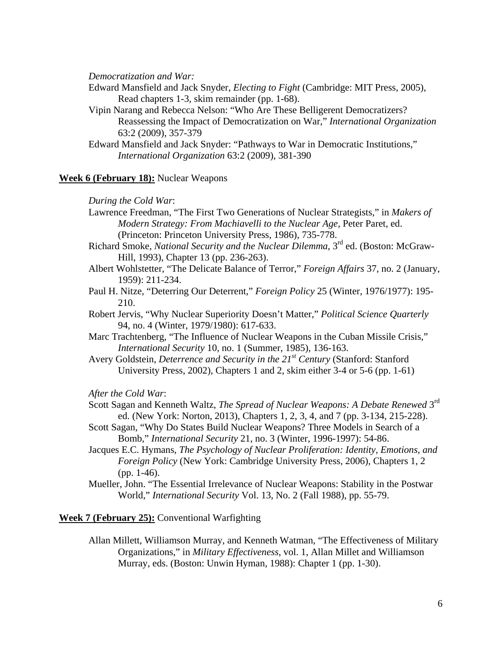*Democratization and War:*

Edward Mansfield and Jack Snyder, *Electing to Fight* (Cambridge: MIT Press, 2005), Read chapters 1-3, skim remainder (pp. 1-68).

- Vipin Narang and Rebecca Nelson: "Who Are These Belligerent Democratizers? Reassessing the Impact of Democratization on War," *International Organization* 63:2 (2009), 357-379
- Edward Mansfield and Jack Snyder: "Pathways to War in Democratic Institutions," *International Organization* 63:2 (2009), 381-390

## **Week 6 (February 18):** Nuclear Weapons

#### *During the Cold War*:

- Lawrence Freedman, "The First Two Generations of Nuclear Strategists," in *Makers of Modern Strategy: From Machiavelli to the Nuclear Age*, Peter Paret, ed. (Princeton: Princeton University Press, 1986), 735-778.
- Richard Smoke, *National Security and the Nuclear Dilemma*, 3rd ed. (Boston: McGraw-Hill, 1993), Chapter 13 (pp. 236-263).
- Albert Wohlstetter, "The Delicate Balance of Terror," *Foreign Affairs* 37, no. 2 (January, 1959): 211-234.
- Paul H. Nitze, "Deterring Our Deterrent," *Foreign Policy* 25 (Winter, 1976/1977): 195- 210.
- Robert Jervis, "Why Nuclear Superiority Doesn't Matter," *Political Science Quarterly* 94, no. 4 (Winter, 1979/1980): 617-633.
- Marc Trachtenberg, "The Influence of Nuclear Weapons in the Cuban Missile Crisis," *International Security* 10, no. 1 (Summer, 1985), 136-163.
- Avery Goldstein, *Deterrence and Security in the 21st Century* (Stanford: Stanford University Press, 2002), Chapters 1 and 2, skim either 3-4 or 5-6 (pp. 1-61)

*After the Cold War*:

- Scott Sagan and Kenneth Waltz, *The Spread of Nuclear Weapons: A Debate Renewed* 3rd ed. (New York: Norton, 2013), Chapters 1, 2, 3, 4, and 7 (pp. 3-134, 215-228).
- Scott Sagan, "Why Do States Build Nuclear Weapons? Three Models in Search of a Bomb," *International Security* 21, no. 3 (Winter, 1996-1997): 54-86.
- Jacques E.C. Hymans, *The Psychology of Nuclear Proliferation: Identity, Emotions, and Foreign Policy* (New York: Cambridge University Press, 2006), Chapters 1, 2 (pp. 1-46).
- Mueller, John. "The Essential Irrelevance of Nuclear Weapons: Stability in the Postwar World," *International Security* Vol. 13, No. 2 (Fall 1988), pp. 55-79.

#### **Week 7 (February 25):** Conventional Warfighting

Allan Millett, Williamson Murray, and Kenneth Watman, "The Effectiveness of Military Organizations," in *Military Effectiveness*, vol. 1, Allan Millet and Williamson Murray, eds. (Boston: Unwin Hyman, 1988): Chapter 1 (pp. 1-30).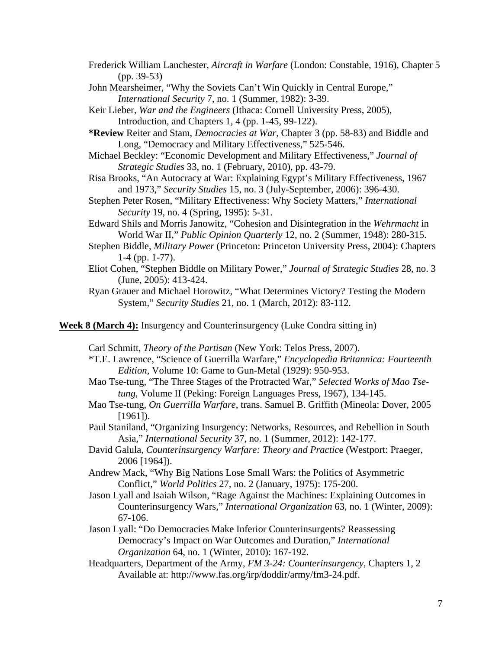Frederick William Lanchester, *Aircraft in Warfare* (London: Constable, 1916), Chapter 5 (pp. 39-53)

- John Mearsheimer, "Why the Soviets Can't Win Quickly in Central Europe," *International Security* 7, no. 1 (Summer, 1982): 3-39.
- Keir Lieber, *War and the Engineers* (Ithaca: Cornell University Press, 2005), Introduction, and Chapters 1, 4 (pp. 1-45, 99-122).
- **\*Review** Reiter and Stam, *Democracies at War*, Chapter 3 (pp. 58-83) and Biddle and Long, "Democracy and Military Effectiveness," 525-546.
- Michael Beckley: "Economic Development and Military Effectiveness," *Journal of Strategic Studies* 33, no. 1 (February, 2010), pp. 43-79.
- Risa Brooks, "An Autocracy at War: Explaining Egypt's Military Effectiveness, 1967 and 1973," *Security Studies* 15, no. 3 (July-September, 2006): 396-430.
- Stephen Peter Rosen, "Military Effectiveness: Why Society Matters," *International Security* 19, no. 4 (Spring, 1995): 5-31.
- Edward Shils and Morris Janowitz, "Cohesion and Disintegration in the *Wehrmacht* in World War II," *Public Opinion Quarterly* 12, no. 2 (Summer, 1948): 280-315.
- Stephen Biddle, *Military Power* (Princeton: Princeton University Press, 2004): Chapters 1-4 (pp. 1-77).
- Eliot Cohen, "Stephen Biddle on Military Power," *Journal of Strategic Studies* 28, no. 3 (June, 2005): 413-424.
- Ryan Grauer and Michael Horowitz, "What Determines Victory? Testing the Modern System," *Security Studies* 21, no. 1 (March, 2012): 83-112.

**Week 8 (March 4):** Insurgency and Counterinsurgency (Luke Condra sitting in)

Carl Schmitt, *Theory of the Partisan* (New York: Telos Press, 2007).

- \*T.E. Lawrence, "Science of Guerrilla Warfare," *Encyclopedia Britannica: Fourteenth Edition*, Volume 10: Game to Gun-Metal (1929): 950-953.
- Mao Tse-tung, "The Three Stages of the Protracted War," *Selected Works of Mao Tsetung*, Volume II (Peking: Foreign Languages Press, 1967), 134-145.
- Mao Tse-tung, *On Guerrilla Warfare*, trans. Samuel B. Griffith (Mineola: Dover, 2005 [1961]).
- Paul Staniland, "Organizing Insurgency: Networks, Resources, and Rebellion in South Asia," *International Security* 37, no. 1 (Summer, 2012): 142-177.
- David Galula, *Counterinsurgency Warfare: Theory and Practic*e (Westport: Praeger, 2006 [1964]).
- Andrew Mack, "Why Big Nations Lose Small Wars: the Politics of Asymmetric Conflict," *World Politics* 27, no. 2 (January, 1975): 175-200.
- Jason Lyall and Isaiah Wilson, "Rage Against the Machines: Explaining Outcomes in Counterinsurgency Wars," *International Organization* 63, no. 1 (Winter, 2009): 67-106.
- Jason Lyall: "Do Democracies Make Inferior Counterinsurgents? Reassessing Democracy's Impact on War Outcomes and Duration," *International Organization* 64, no. 1 (Winter, 2010): 167-192.
- Headquarters, Department of the Army, *FM 3-24: Counterinsurgency*, Chapters 1, 2 Available at: http://www.fas.org/irp/doddir/army/fm3-24.pdf.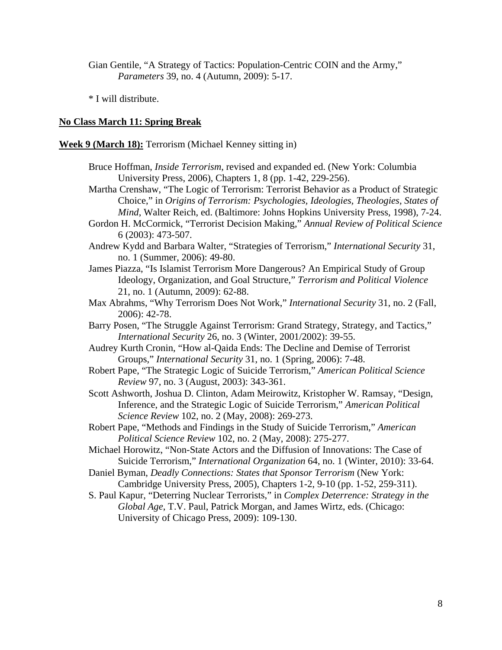Gian Gentile, "A Strategy of Tactics: Population-Centric COIN and the Army," *Parameters* 39, no. 4 (Autumn, 2009): 5-17.

\* I will distribute.

## **No Class March 11: Spring Break**

**Week 9 (March 18):** Terrorism (Michael Kenney sitting in)

- Bruce Hoffman, *Inside Terrorism*, revised and expanded ed. (New York: Columbia University Press, 2006), Chapters 1, 8 (pp. 1-42, 229-256).
- Martha Crenshaw, "The Logic of Terrorism: Terrorist Behavior as a Product of Strategic Choice," in *Origins of Terrorism: Psychologies, Ideologies, Theologies, States of Mind*, Walter Reich, ed. (Baltimore: Johns Hopkins University Press, 1998), 7-24.
- Gordon H. McCormick, "Terrorist Decision Making," *Annual Review of Political Science* 6 (2003): 473-507.
- Andrew Kydd and Barbara Walter, "Strategies of Terrorism," *International Security* 31, no. 1 (Summer, 2006): 49-80.
- James Piazza, "Is Islamist Terrorism More Dangerous? An Empirical Study of Group Ideology, Organization, and Goal Structure," *Terrorism and Political Violence*  21, no. 1 (Autumn, 2009): 62-88.
- Max Abrahms, "Why Terrorism Does Not Work," *International Security* 31, no. 2 (Fall, 2006): 42-78.
- Barry Posen, "The Struggle Against Terrorism: Grand Strategy, Strategy, and Tactics," *International Security* 26, no. 3 (Winter, 2001/2002): 39-55.
- Audrey Kurth Cronin, "How al-Qaida Ends: The Decline and Demise of Terrorist Groups," *International Security* 31, no. 1 (Spring, 2006): 7-48.
- Robert Pape, "The Strategic Logic of Suicide Terrorism," *American Political Science Review* 97, no. 3 (August, 2003): 343-361.
- Scott Ashworth, Joshua D. Clinton, Adam Meirowitz, Kristopher W. Ramsay, "Design, Inference, and the Strategic Logic of Suicide Terrorism," *American Political Science Review* 102, no. 2 (May, 2008): 269-273.
- Robert Pape, "Methods and Findings in the Study of Suicide Terrorism," *American Political Science Review* 102, no. 2 (May, 2008): 275-277.

Michael Horowitz, "Non-State Actors and the Diffusion of Innovations: The Case of Suicide Terrorism," *International Organization* 64, no. 1 (Winter, 2010): 33-64.

Daniel Byman, *Deadly Connections: States that Sponsor Terrorism* (New York: Cambridge University Press, 2005), Chapters 1-2, 9-10 (pp. 1-52, 259-311).

S. Paul Kapur, "Deterring Nuclear Terrorists," in *Complex Deterrence: Strategy in the Global Age*, T.V. Paul, Patrick Morgan, and James Wirtz, eds. (Chicago: University of Chicago Press, 2009): 109-130.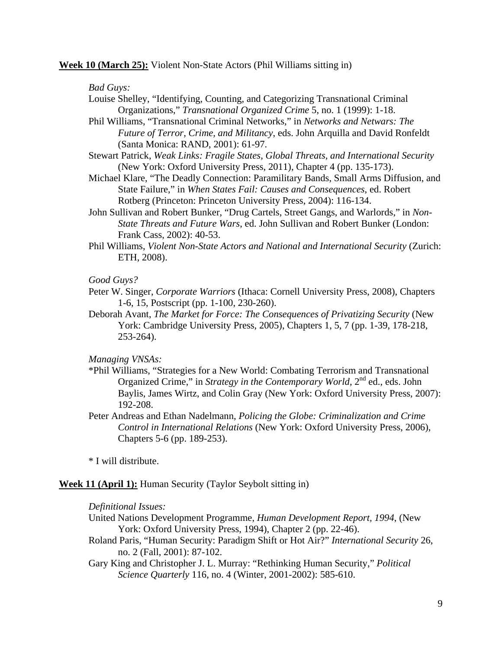### **Week 10 (March 25):** Violent Non-State Actors (Phil Williams sitting in)

## *Bad Guys:*

- Louise Shelley, "Identifying, Counting, and Categorizing Transnational Criminal Organizations," *Transnational Organized Crime* 5, no. 1 (1999): 1-18.
- Phil Williams, "Transnational Criminal Networks," in *Networks and Netwars: The Future of Terror, Crime, and Militancy*, eds. John Arquilla and David Ronfeldt (Santa Monica: RAND, 2001): 61-97.
- Stewart Patrick, *Weak Links: Fragile States, Global Threats, and International Security* (New York: Oxford University Press, 2011), Chapter 4 (pp. 135-173).
- Michael Klare, "The Deadly Connection: Paramilitary Bands, Small Arms Diffusion, and State Failure," in *When States Fail: Causes and Consequences*, ed. Robert Rotberg (Princeton: Princeton University Press, 2004): 116-134.
- John Sullivan and Robert Bunker, "Drug Cartels, Street Gangs, and Warlords," in *Non-State Threats and Future Wars*, ed. John Sullivan and Robert Bunker (London: Frank Cass, 2002): 40-53.
- Phil Williams, *Violent Non-State Actors and National and International Security* (Zurich: ETH, 2008).

## *Good Guys?*

- Peter W. Singer, *Corporate Warriors* (Ithaca: Cornell University Press, 2008), Chapters 1-6, 15, Postscript (pp. 1-100, 230-260).
- Deborah Avant, *The Market for Force: The Consequences of Privatizing Security* (New York: Cambridge University Press, 2005), Chapters 1, 5, 7 (pp. 1-39, 178-218, 253-264).

*Managing VNSAs:*

- \*Phil Williams, "Strategies for a New World: Combating Terrorism and Transnational Organized Crime," in *Strategy in the Contemporary World*, 2<sup>nd</sup> ed., eds. John Baylis, James Wirtz, and Colin Gray (New York: Oxford University Press, 2007): 192-208.
- Peter Andreas and Ethan Nadelmann, *Policing the Globe: Criminalization and Crime Control in International Relations* (New York: Oxford University Press, 2006), Chapters 5-6 (pp. 189-253).

\* I will distribute.

## **Week 11 (April 1):** Human Security (Taylor Seybolt sitting in)

### *Definitional Issues:*

- United Nations Development Programme, *Human Development Report, 1994*, (New York: Oxford University Press, 1994), Chapter 2 (pp. 22-46).
- Roland Paris, "Human Security: Paradigm Shift or Hot Air?" *International Security* 26, no. 2 (Fall, 2001): 87-102.
- Gary King and Christopher J. L. Murray: "Rethinking Human Security," *Political Science Quarterly* 116, no. 4 (Winter, 2001-2002): 585-610.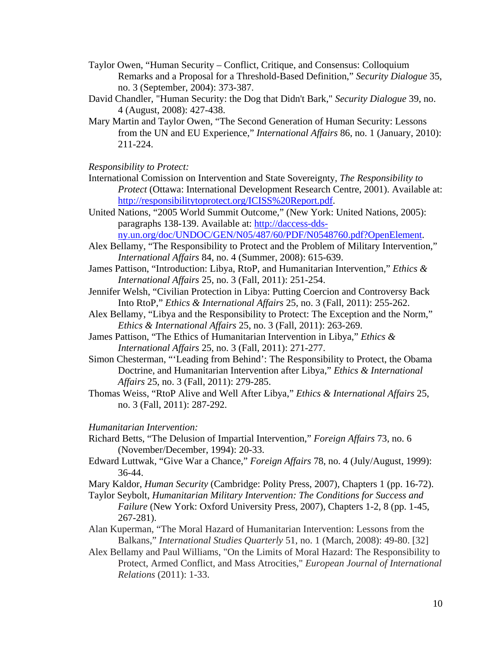- Taylor Owen, "Human Security Conflict, Critique, and Consensus: Colloquium Remarks and a Proposal for a Threshold-Based Definition," *Security Dialogue* 35, no. 3 (September, 2004): 373-387.
- David Chandler, "Human Security: the Dog that Didn't Bark," *Security Dialogue* 39, no. 4 (August, 2008): 427-438.
- Mary Martin and Taylor Owen, "The Second Generation of Human Security: Lessons from the UN and EU Experience," *International Affairs* 86, no. 1 (January, 2010): 211-224.

#### *Responsibility to Protect:*

- International Comission on Intervention and State Sovereignty, *The Responsibility to Protect* (Ottawa: International Development Research Centre, 2001). Available at: [http://responsibilitytoprotect.org/ICISS%20Report.pdf.](http://responsibilitytoprotect.org/ICISS%20Report.pdf)
- United Nations, "2005 World Summit Outcome," (New York: United Nations, 2005): paragraphs 138-139. Available at: [http://daccess-dds-](http://daccess-dds-ny.un.org/doc/UNDOC/GEN/N05/487/60/PDF/N0548760.pdf?OpenElement)
- [ny.un.org/doc/UNDOC/GEN/N05/487/60/PDF/N0548760.pdf?OpenElement.](http://daccess-dds-ny.un.org/doc/UNDOC/GEN/N05/487/60/PDF/N0548760.pdf?OpenElement) Alex Bellamy, "The Responsibility to Protect and the Problem of Military Intervention,"
- *International Affairs* 84, no. 4 (Summer, 2008): 615-639.
- James Pattison, "Introduction: Libya, RtoP, and Humanitarian Intervention," *Ethics & International Affairs* 25, no. 3 (Fall, 2011): 251-254.
- Jennifer Welsh, "Civilian Protection in Libya: Putting Coercion and Controversy Back Into RtoP," *Ethics & International Affairs* 25, no. 3 (Fall, 2011): 255-262.
- Alex Bellamy, "Libya and the Responsibility to Protect: The Exception and the Norm," *Ethics & International Affairs* 25, no. 3 (Fall, 2011): 263-269.
- James Pattison, "The Ethics of Humanitarian Intervention in Libya," *Ethics & International Affairs* 25, no. 3 (Fall, 2011): 271-277.
- Simon Chesterman, "'Leading from Behind': The Responsibility to Protect, the Obama Doctrine, and Humanitarian Intervention after Libya," *Ethics & International Affairs* 25, no. 3 (Fall, 2011): 279-285.
- Thomas Weiss, "RtoP Alive and Well After Libya," *Ethics & International Affairs* 25, no. 3 (Fall, 2011): 287-292.

## *Humanitarian Intervention:*

- Richard Betts, "The Delusion of Impartial Intervention," *Foreign Affairs* 73, no. 6 (November/December, 1994): 20-33.
- Edward Luttwak, "Give War a Chance," *Foreign Affairs* 78, no. 4 (July/August, 1999): 36-44.
- Mary Kaldor, *Human Security* (Cambridge: Polity Press, 2007), Chapters 1 (pp. 16-72).
- Taylor Seybolt, *Humanitarian Military Intervention: The Conditions for Success and Failure* (New York: Oxford University Press, 2007), Chapters 1-2, 8 (pp. 1-45, 267-281).
- Alan Kuperman, "The Moral Hazard of Humanitarian Intervention: Lessons from the Balkans," *International Studies Quarterly* 51, no. 1 (March, 2008): 49-80. [32]
- Alex Bellamy and Paul Williams, "On the Limits of Moral Hazard: The Responsibility to Protect, Armed Conflict, and Mass Atrocities," *European Journal of International Relations* (2011): 1-33.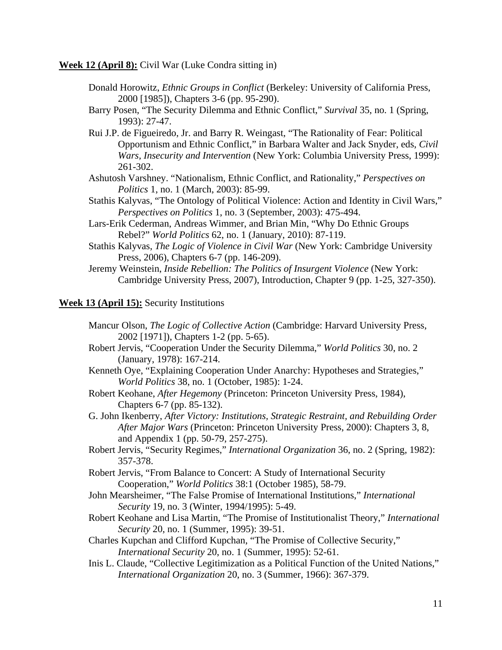**Week 12 (April 8):** Civil War (Luke Condra sitting in)

- Donald Horowitz, *Ethnic Groups in Conflict* (Berkeley: University of California Press, 2000 [1985]), Chapters 3-6 (pp. 95-290).
- Barry Posen, "The Security Dilemma and Ethnic Conflict," *Survival* 35, no. 1 (Spring, 1993): 27-47.
- Rui J.P. de Figueiredo, Jr. and Barry R. Weingast, "The Rationality of Fear: Political Opportunism and Ethnic Conflict," in Barbara Walter and Jack Snyder, eds, *Civil Wars, Insecurity and Intervention* (New York: Columbia University Press, 1999): 261-302.
- Ashutosh Varshney. "Nationalism, Ethnic Conflict, and Rationality," *Perspectives on Politics* 1, no. 1 (March, 2003): 85-99.
- Stathis Kalyvas, "The Ontology of Political Violence: Action and Identity in Civil Wars," *Perspectives on Politics* 1, no. 3 (September, 2003): 475-494.
- Lars-Erik Cederman, Andreas Wimmer, and Brian Min, "Why Do Ethnic Groups Rebel?" *World Politics* 62, no. 1 (January, 2010): 87-119.
- Stathis Kalyvas, *The Logic of Violence in Civil War* (New York: Cambridge University Press, 2006), Chapters 6-7 (pp. 146-209).
- Jeremy Weinstein, *Inside Rebellion: The Politics of Insurgent Violence* (New York: Cambridge University Press, 2007), Introduction, Chapter 9 (pp. 1-25, 327-350).

## **Week 13 (April 15):** Security Institutions

- Mancur Olson, *The Logic of Collective Action* (Cambridge: Harvard University Press, 2002 [1971]), Chapters 1-2 (pp. 5-65).
- Robert Jervis, "Cooperation Under the Security Dilemma," *World Politics* 30, no. 2 (January, 1978): 167-214.
- Kenneth Oye, "Explaining Cooperation Under Anarchy: Hypotheses and Strategies," *World Politics* 38, no. 1 (October, 1985): 1-24.
- Robert Keohane, *After Hegemony* (Princeton: Princeton University Press, 1984), Chapters 6-7 (pp. 85-132).
- G. John Ikenberry, *After Victory: Institutions, Strategic Restraint, and Rebuilding Order After Major Wars* (Princeton: Princeton University Press, 2000): Chapters 3, 8, and Appendix 1 (pp. 50-79, 257-275).
- Robert Jervis, "Security Regimes," *International Organization* 36, no. 2 (Spring, 1982): 357-378.
- Robert Jervis, "From Balance to Concert: A Study of International Security Cooperation," *World Politics* 38:1 (October 1985), 58-79.
- John Mearsheimer, "The False Promise of International Institutions," *International Security* 19, no. 3 (Winter, 1994/1995): 5-49.
- Robert Keohane and Lisa Martin, "The Promise of Institutionalist Theory," *International Security* 20, no. 1 (Summer, 1995): 39-51.
- Charles Kupchan and Clifford Kupchan, "The Promise of Collective Security," *International Security* 20, no. 1 (Summer, 1995): 52-61.
- Inis L. Claude, "Collective Legitimization as a Political Function of the United Nations," *International Organization* 20, no. 3 (Summer, 1966): 367-379.